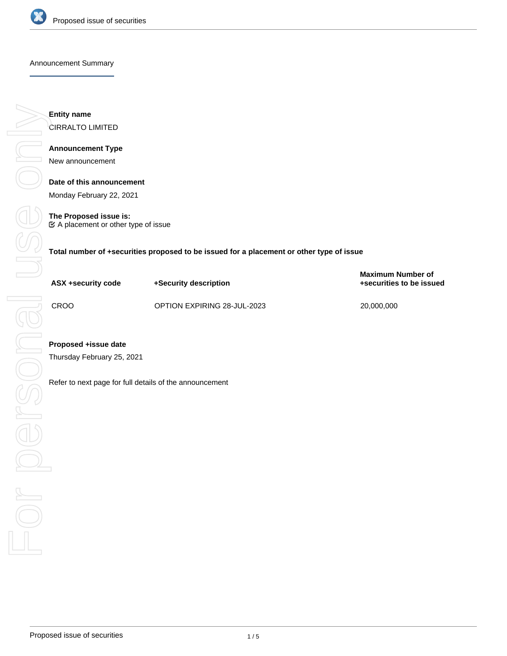

#### Announcement Summary

**Entity name** CIRRALTO LIMITED **Announcement Type** New announcement

> **Date of this announcement** Monday February 22, 2021

**The Proposed issue is:**  $\mathfrak C$  A placement or other type of issue

**Total number of +securities proposed to be issued for a placement or other type of issue**

| ASX +security code | +Security description       | <b>Maximum Number of</b><br>+securities to be issued |
|--------------------|-----------------------------|------------------------------------------------------|
| CROO               | OPTION EXPIRING 28-JUL-2023 | 20,000,000                                           |

Thursday February 25, 2021

Refer to next page for full details of the announcement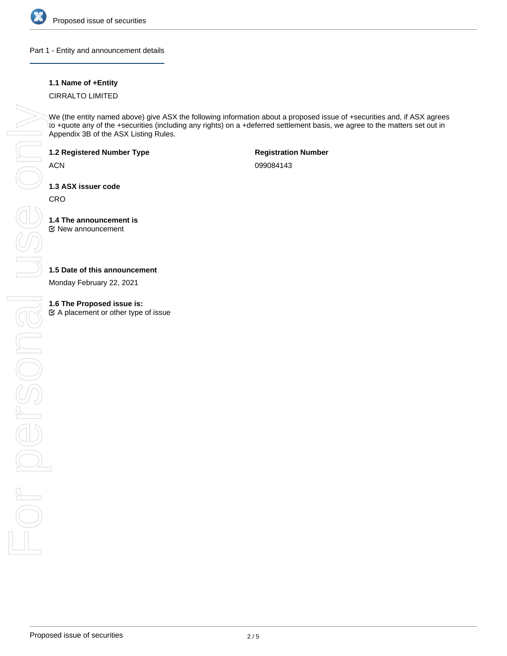

# Part 1 - Entity and announcement details

# **1.1 Name of +Entity**

# CIRRALTO LIMITED

We (the entity named above) give ASX the following information about a proposed issue of +securities and, if ASX agrees to +quote any of the +securities (including any rights) on a +deferred settlement basis, we agree to the matters set out in Appendix 3B of the ASX Listing Rules.

## **1.2 Registered Number Type**

**ACN** 

**Registration Number**

099084143

**1.3 ASX issuer code**

**CRO** 

#### **1.4 The announcement is** New announcement

# **1.5 Date of this announcement**

Monday February 22, 2021

 $\mathfrak{C}$  A placement or other type of issue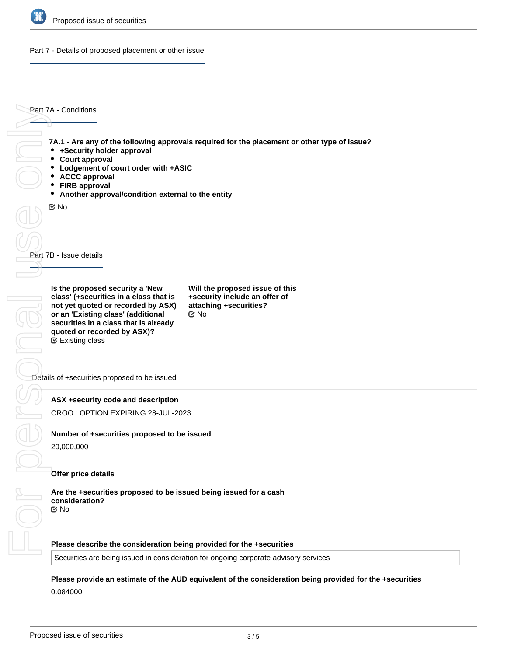

Part 7 - Details of proposed placement or other issue

Part 7A - Conditions

**7A.1 - Are any of the following approvals required for the placement or other type of issue?**

- **+Security holder approval**
- **Court approval**
- **Lodgement of court order with +ASIC**
- **ACCC approval**
- **FIRB approval**
- **Another approval/condition external to the entity**

No

Part 7B - Issue details

**Is the proposed security a 'New class' (+securities in a class that is not yet quoted or recorded by ASX) or an 'Existing class' (additional securities in a class that is already quoted or recorded by ASX)?** Existing class

**Will the proposed issue of this +security include an offer of attaching +securities?** No

Details of +securities proposed to be issued

**ASX +security code and description**

CROO : OPTION EXPIRING 28-JUL-2023

# **Number of +securities proposed to be issued**

20,000,000

## **Offer price details**

**Are the +securities proposed to be issued being issued for a cash consideration?** No

**Please describe the consideration being provided for the +securities**

Securities are being issued in consideration for ongoing corporate advisory services

**Please provide an estimate of the AUD equivalent of the consideration being provided for the +securities** 0.084000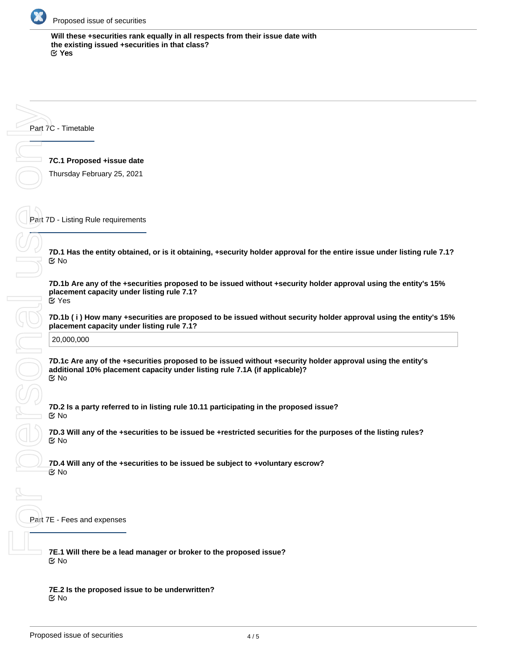

**Will these +securities rank equally in all respects from their issue date with the existing issued +securities in that class?** Yes

Part 7C - Timetable

**7C.1 Proposed +issue date**

Thursday February 25, 2021

Part 7D - Listing Rule requirements

**7D.1 Has the entity obtained, or is it obtaining, +security holder approval for the entire issue under listing rule 7.1?** No

**7D.1b Are any of the +securities proposed to be issued without +security holder approval using the entity's 15% placement capacity under listing rule 7.1?** Yes

**7D.1b ( i ) How many +securities are proposed to be issued without security holder approval using the entity's 15% placement capacity under listing rule 7.1?**

20,000,000

**7D.1c Are any of the +securities proposed to be issued without +security holder approval using the entity's additional 10% placement capacity under listing rule 7.1A (if applicable)?** No

**7D.2 Is a party referred to in listing rule 10.11 participating in the proposed issue?** No

**7D.3 Will any of the +securities to be issued be +restricted securities for the purposes of the listing rules?** No

**7D.4 Will any of the +securities to be issued be subject to +voluntary escrow?** ි No

Part 7E - Fees and expenses

**7E.1 Will there be a lead manager or broker to the proposed issue?** No

**7E.2 Is the proposed issue to be underwritten?** No